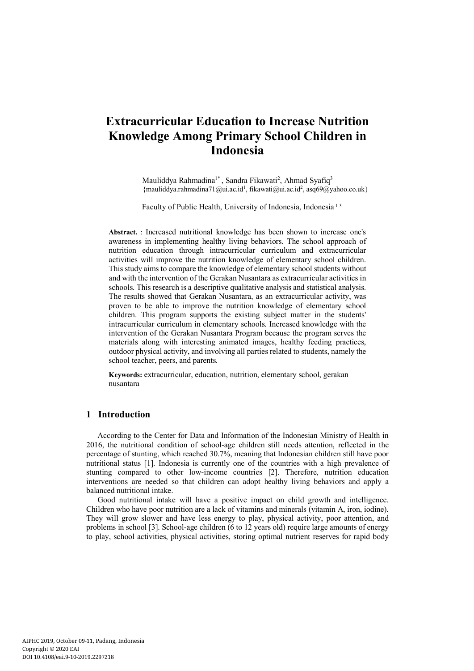# **Extracurricular Education to Increase Nutrition Knowledge Among Primary School Children in Indonesia**

Mauliddya Rahmadina<sup>1\*</sup>, Sandra Fikawati<sup>2</sup>, Ahmad Syafiq<sup>3</sup> {mauliddya.rahmadina71@ui.ac.id<sup>1</sup>, fikawati@ui.ac.id<sup>2</sup>, asq69@yahoo.co.uk}

Faculty of Public Health, University of Indonesia, Indonesia 1-3

**Abstract.** : Increased nutritional knowledge has been shown to increase one's awareness in implementing healthy living behaviors. The school approach of nutrition education through intracurricular curriculum and extracurricular activities will improve the nutrition knowledge of elementary school children. This study aims to compare the knowledge of elementary school students without and with the intervention of the Gerakan Nusantara as extracurricular activities in schools. This research is a descriptive qualitative analysis and statistical analysis. The results showed that Gerakan Nusantara, as an extracurricular activity, was proven to be able to improve the nutrition knowledge of elementary school children. This program supports the existing subject matter in the students' intracurricular curriculum in elementary schools. Increased knowledge with the intervention of the Gerakan Nusantara Program because the program serves the materials along with interesting animated images, healthy feeding practices, outdoor physical activity, and involving all parties related to students, namely the school teacher, peers, and parents.

**Keywords:** extracurricular, education, nutrition, elementary school, gerakan nusantara

## **1 Introduction**

According to the Center for Data and Information of the Indonesian Ministry of Health in 2016, the nutritional condition of school-age children still needs attention, reflected in the percentage of stunting, which reached 30.7%, meaning that Indonesian children still have poor nutritional status [1]. Indonesia is currently one of the countries with a high prevalence of stunting compared to other low-income countries [2]. Therefore, nutrition education interventions are needed so that children can adopt healthy living behaviors and apply a balanced nutritional intake.

Good nutritional intake will have a positive impact on child growth and intelligence. Children who have poor nutrition are a lack of vitamins and minerals (vitamin A, iron, iodine). They will grow slower and have less energy to play, physical activity, poor attention, and problems in school [3]. School-age children (6 to 12 years old) require large amounts of energy to play, school activities, physical activities, storing optimal nutrient reserves for rapid body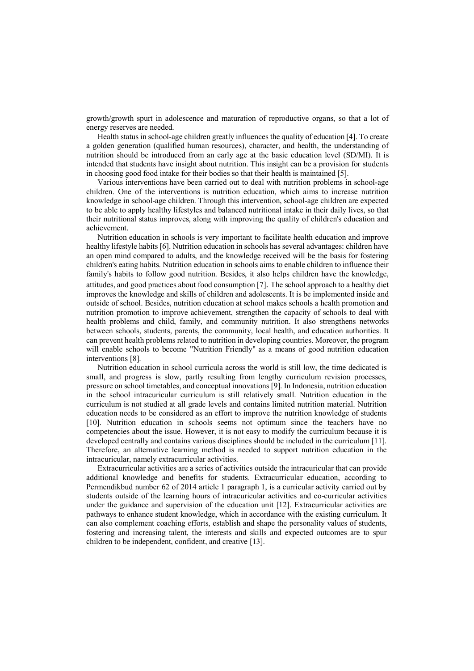growth/growth spurt in adolescence and maturation of reproductive organs, so that a lot of energy reserves are needed.

Health status in school-age children greatly influences the quality of education [4]. To create a golden generation (qualified human resources), character, and health, the understanding of nutrition should be introduced from an early age at the basic education level (SD/MI). It is intended that students have insight about nutrition. This insight can be a provision for students in choosing good food intake for their bodies so that their health is maintained [5].

Various interventions have been carried out to deal with nutrition problems in school-age children. One of the interventions is nutrition education, which aims to increase nutrition knowledge in school-age children. Through this intervention, school-age children are expected to be able to apply healthy lifestyles and balanced nutritional intake in their daily lives, so that their nutritional status improves, along with improving the quality of children's education and achievement.

Nutrition education in schools is very important to facilitate health education and improve healthy lifestyle habits [6]. Nutrition education in schools has several advantages: children have an open mind compared to adults, and the knowledge received will be the basis for fostering children's eating habits. Nutrition education in schools aims to enable children to influence their family's habits to follow good nutrition. Besides, it also helps children have the knowledge, attitudes, and good practices about food consumption [7]. The school approach to a healthy diet improves the knowledge and skills of children and adolescents. It is be implemented inside and outside of school. Besides, nutrition education at school makes schools a health promotion and nutrition promotion to improve achievement, strengthen the capacity of schools to deal with health problems and child, family, and community nutrition. It also strengthens networks between schools, students, parents, the community, local health, and education authorities. It can prevent health problems related to nutrition in developing countries. Moreover, the program will enable schools to become "Nutrition Friendly" as a means of good nutrition education interventions [8].

Nutrition education in school curricula across the world is still low, the time dedicated is small, and progress is slow, partly resulting from lengthy curriculum revision processes, pressure on school timetables, and conceptual innovations [9]. In Indonesia, nutrition education in the school intracuricular curriculum is still relatively small. Nutrition education in the curriculum is not studied at all grade levels and contains limited nutrition material. Nutrition education needs to be considered as an effort to improve the nutrition knowledge of students [10]. Nutrition education in schools seems not optimum since the teachers have no competencies about the issue. However, it is not easy to modify the curriculum because it is developed centrally and contains various disciplines should be included in the curriculum [11]. Therefore, an alternative learning method is needed to support nutrition education in the intracuricular, namely extracurricular activities.

Extracurricular activities are a series of activities outside the intracuricular that can provide additional knowledge and benefits for students. Extracurricular education, according to Permendikbud number 62 of 2014 article 1 paragraph 1, is a curricular activity carried out by students outside of the learning hours of intracuricular activities and co-curricular activities under the guidance and supervision of the education unit [12]. Extracurricular activities are pathways to enhance student knowledge, which in accordance with the existing curriculum. It can also complement coaching efforts, establish and shape the personality values of students, fostering and increasing talent, the interests and skills and expected outcomes are to spur children to be independent, confident, and creative [13].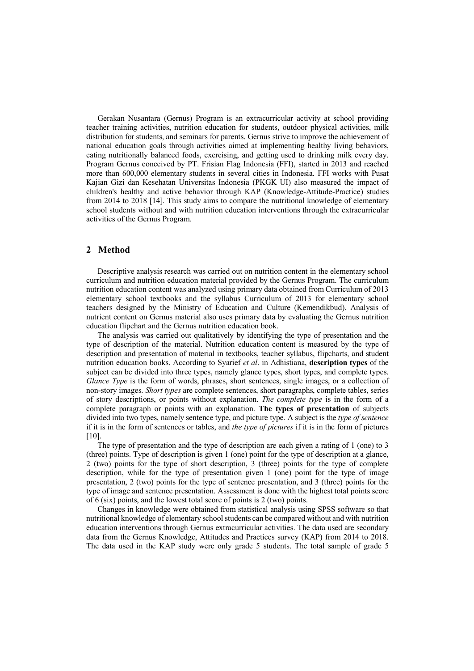Gerakan Nusantara (Gernus) Program is an extracurricular activity at school providing teacher training activities, nutrition education for students, outdoor physical activities, milk distribution for students, and seminars for parents. Gernus strive to improve the achievement of national education goals through activities aimed at implementing healthy living behaviors, eating nutritionally balanced foods, exercising, and getting used to drinking milk every day. Program Gernus conceived by PT. Frisian Flag Indonesia (FFI), started in 2013 and reached more than 600,000 elementary students in several cities in Indonesia. FFI works with Pusat Kajian Gizi dan Kesehatan Universitas Indonesia (PKGK UI) also measured the impact of children's healthy and active behavior through KAP (Knowledge-Attitude-Practice) studies from 2014 to 2018 [14]. This study aims to compare the nutritional knowledge of elementary school students without and with nutrition education interventions through the extracurricular activities of the Gernus Program.

## **2 Method**

Descriptive analysis research was carried out on nutrition content in the elementary school curriculum and nutrition education material provided by the Gernus Program. The curriculum nutrition education content was analyzed using primary data obtained from Curriculum of 2013 elementary school textbooks and the syllabus Curriculum of 2013 for elementary school teachers designed by the Ministry of Education and Culture (Kemendikbud). Analysis of nutrient content on Gernus material also uses primary data by evaluating the Gernus nutrition education flipchart and the Gernus nutrition education book.

The analysis was carried out qualitatively by identifying the type of presentation and the type of description of the material. Nutrition education content is measured by the type of description and presentation of material in textbooks, teacher syllabus, flipcharts, and student nutrition education books. According to Syarief *et al*. in Adhistiana, **description types** of the subject can be divided into three types, namely glance types, short types, and complete types. *Glance Type* is the form of words, phrases, short sentences, single images, or a collection of non-story images. *Short types* are complete sentences, short paragraphs, complete tables, series of story descriptions, or points without explanation. *The complete type* is in the form of a complete paragraph or points with an explanation. **The types of presentation** of subjects divided into two types, namely sentence type, and picture type. A subject is the *type of sentence* if it is in the form of sentences or tables, and *the type of pictures* if it is in the form of pictures  $[10]$ .

The type of presentation and the type of description are each given a rating of 1 (one) to 3 (three) points. Type of description is given 1 (one) point for the type of description at a glance, 2 (two) points for the type of short description, 3 (three) points for the type of complete description, while for the type of presentation given 1 (one) point for the type of image presentation, 2 (two) points for the type of sentence presentation, and 3 (three) points for the type of image and sentence presentation. Assessment is done with the highest total points score of 6 (six) points, and the lowest total score of points is 2 (two) points.

Changes in knowledge were obtained from statistical analysis using SPSS software so that nutritional knowledge of elementary school students can be compared without and with nutrition education interventions through Gernus extracurricular activities. The data used are secondary data from the Gernus Knowledge, Attitudes and Practices survey (KAP) from 2014 to 2018. The data used in the KAP study were only grade 5 students. The total sample of grade 5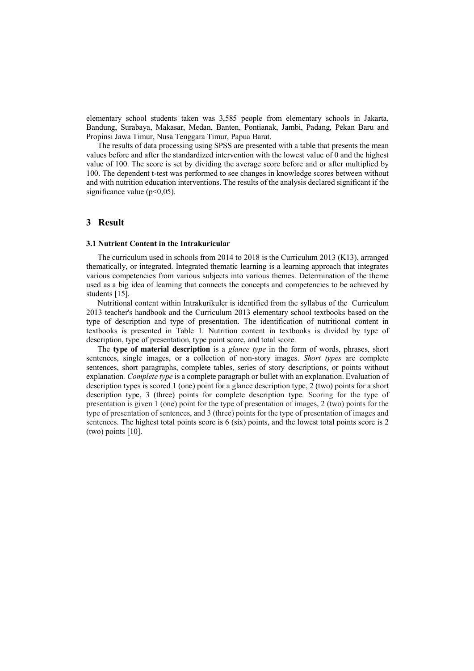elementary school students taken was 3,585 people from elementary schools in Jakarta, Bandung, Surabaya, Makasar, Medan, Banten, Pontianak, Jambi, Padang, Pekan Baru and Propinsi Jawa Timur, Nusa Tenggara Timur, Papua Barat.

The results of data processing using SPSS are presented with a table that presents the mean values before and after the standardized intervention with the lowest value of 0 and the highest value of 100. The score is set by dividing the average score before and or after multiplied by 100. The dependent t-test was performed to see changes in knowledge scores between without and with nutrition education interventions. The results of the analysis declared significant if the significance value  $(p<0.05)$ .

## **3 Result**

#### **3.1 Nutrient Content in the Intrakuricular**

The curriculum used in schools from 2014 to 2018 is the Curriculum 2013 (K13), arranged thematically, or integrated. Integrated thematic learning is a learning approach that integrates various competencies from various subjects into various themes. Determination of the theme used as a big idea of learning that connects the concepts and competencies to be achieved by students [15].

Nutritional content within Intrakurikuler is identified from the syllabus of the Curriculum 2013 teacher's handbook and the Curriculum 2013 elementary school textbooks based on the type of description and type of presentation. The identification of nutritional content in textbooks is presented in Table 1. Nutrition content in textbooks is divided by type of description, type of presentation, type point score, and total score.

The **type of material description** is a *glance type* in the form of words, phrases, short sentences, single images, or a collection of non-story images. *Short types* are complete sentences, short paragraphs, complete tables, series of story descriptions, or points without explanation*. Complete type* is a complete paragraph or bullet with an explanation. Evaluation of description types is scored 1 (one) point for a glance description type, 2 (two) points for a short description type, 3 (three) points for complete description type. Scoring for the type of presentation is given 1 (one) point for the type of presentation of images, 2 (two) points for the type of presentation of sentences, and 3 (three) points for the type of presentation of images and sentences. The highest total points score is 6 (six) points, and the lowest total points score is 2 (two) points [10].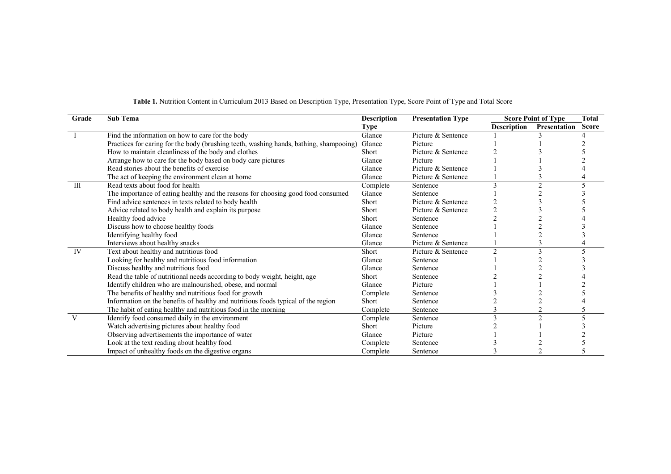| Grade | <b>Sub Tema</b>                                                                        | <b>Description</b> | <b>Presentation Type</b> |                    | <b>Score Point of Type</b> | <b>Total</b> |
|-------|----------------------------------------------------------------------------------------|--------------------|--------------------------|--------------------|----------------------------|--------------|
|       |                                                                                        | <b>Type</b>        |                          | <b>Description</b> | Presentation               | <b>Score</b> |
|       | Find the information on how to care for the body                                       | Glance             | Picture & Sentence       |                    |                            |              |
|       | Practices for caring for the body (brushing teeth, washing hands, bathing, shampooing) | Glance             | Picture                  |                    |                            |              |
|       | How to maintain cleanliness of the body and clothes                                    | Short              | Picture & Sentence       |                    |                            |              |
|       | Arrange how to care for the body based on body care pictures                           | Glance             | Picture                  |                    |                            |              |
|       | Read stories about the benefits of exercise                                            | Glance             | Picture & Sentence       |                    |                            |              |
|       | The act of keeping the environment clean at home                                       | Glance             | Picture & Sentence       |                    |                            |              |
| Ш     | Read texts about food for health                                                       | Complete           | Sentence                 |                    |                            |              |
|       | The importance of eating healthy and the reasons for choosing good food consumed       | Glance             | Sentence                 |                    |                            |              |
|       | Find advice sentences in texts related to body health                                  | Short              | Picture & Sentence       |                    |                            |              |
|       | Advice related to body health and explain its purpose                                  | Short              | Picture & Sentence       |                    |                            |              |
|       | Healthy food advice                                                                    | Short              | Sentence                 |                    |                            |              |
|       | Discuss how to choose healthy foods                                                    | Glance             | Sentence                 |                    |                            |              |
|       | Identifying healthy food                                                               | Glance             | Sentence                 |                    |                            |              |
|       | Interviews about healthy snacks                                                        | Glance             | Picture & Sentence       |                    |                            |              |
| IV    | Text about healthy and nutritious food                                                 | Short              | Picture & Sentence       | $\bigcap$          |                            |              |
|       | Looking for healthy and nutritious food information                                    | Glance             | Sentence                 |                    |                            |              |
|       | Discuss healthy and nutritious food                                                    | Glance             | Sentence                 |                    |                            |              |
|       | Read the table of nutritional needs according to body weight, height, age              | Short              | Sentence                 |                    |                            |              |
|       | Identify children who are malnourished, obese, and normal                              | Glance             | Picture                  |                    |                            |              |
|       | The benefits of healthy and nutritious food for growth                                 | Complete           | Sentence                 |                    |                            |              |
|       | Information on the benefits of healthy and nutritious foods typical of the region      | Short              | Sentence                 |                    |                            |              |
|       | The habit of eating healthy and nutritious food in the morning                         | Complete           | Sentence                 |                    |                            |              |
| V     | Identify food consumed daily in the environment                                        | Complete           | Sentence                 |                    | $\mathcal{D}$              |              |
|       | Watch advertising pictures about healthy food                                          | Short              | Picture                  |                    |                            |              |
|       | Observing advertisements the importance of water                                       | Glance             | Picture                  |                    |                            |              |
|       | Look at the text reading about healthy food                                            | Complete           | Sentence                 |                    |                            |              |
|       | Impact of unhealthy foods on the digestive organs                                      | Complete           | Sentence                 |                    |                            |              |

**Table 1.** Nutrition Content in Curriculum 2013 Based on Description Type, Presentation Type, Score Point of Type and Total Score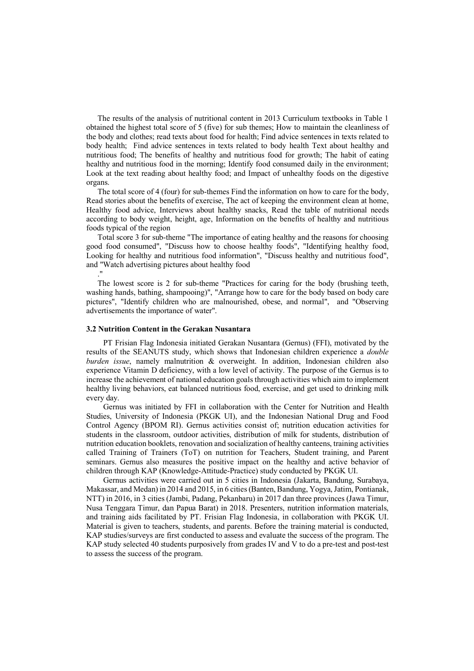The results of the analysis of nutritional content in 2013 Curriculum textbooks in Table 1 obtained the highest total score of 5 (five) for sub themes; How to maintain the cleanliness of the body and clothes; read texts about food for health; Find advice sentences in texts related to body health; Find advice sentences in texts related to body health Text about healthy and nutritious food; The benefits of healthy and nutritious food for growth; The habit of eating healthy and nutritious food in the morning; Identify food consumed daily in the environment; Look at the text reading about healthy food; and Impact of unhealthy foods on the digestive organs.

The total score of 4 (four) for sub-themes Find the information on how to care for the body, Read stories about the benefits of exercise, The act of keeping the environment clean at home, Healthy food advice, Interviews about healthy snacks, Read the table of nutritional needs according to body weight, height, age, Information on the benefits of healthy and nutritious foods typical of the region

Total score 3 for sub-theme "The importance of eating healthy and the reasons for choosing good food consumed", "Discuss how to choose healthy foods", "Identifying healthy food, Looking for healthy and nutritious food information", "Discuss healthy and nutritious food", and "Watch advertising pictures about healthy food ."

The lowest score is 2 for sub-theme "Practices for caring for the body (brushing teeth, washing hands, bathing, shampooing)", "Arrange how to care for the body based on body care pictures", "Identify children who are malnourished, obese, and normal", and "Observing advertisements the importance of water".

#### **3.2 Nutrition Content in the Gerakan Nusantara**

PT Frisian Flag Indonesia initiated Gerakan Nusantara (Gernus) (FFI), motivated by the results of the SEANUTS study, which shows that Indonesian children experience a *double burden issue*, namely malnutrition & overweight. In addition, Indonesian children also experience Vitamin D deficiency, with a low level of activity. The purpose of the Gernus is to increase the achievement of national education goals through activities which aim to implement healthy living behaviors, eat balanced nutritious food, exercise, and get used to drinking milk every day.

Gernus was initiated by FFI in collaboration with the Center for Nutrition and Health Studies, University of Indonesia (PKGK UI), and the Indonesian National Drug and Food Control Agency (BPOM RI). Gernus activities consist of; nutrition education activities for students in the classroom, outdoor activities, distribution of milk for students, distribution of nutrition education booklets, renovation and socialization of healthy canteens, training activities called Training of Trainers (ToT) on nutrition for Teachers, Student training, and Parent seminars. Gernus also measures the positive impact on the healthy and active behavior of children through KAP (Knowledge-Attitude-Practice) study conducted by PKGK UI.

Gernus activities were carried out in 5 cities in Indonesia (Jakarta, Bandung, Surabaya, Makassar, and Medan) in 2014 and 2015, in 6 cities(Banten, Bandung, Yogya, Jatim, Pontianak, NTT) in 2016, in 3 cities (Jambi, Padang, Pekanbaru) in 2017 dan three provinces (Jawa Timur, Nusa Tenggara Timur, dan Papua Barat) in 2018. Presenters, nutrition information materials, and training aids facilitated by PT. Frisian Flag Indonesia, in collaboration with PKGK UI. Material is given to teachers, students, and parents. Before the training material is conducted, KAP studies/surveys are first conducted to assess and evaluate the success of the program. The KAP study selected 40 students purposively from grades IV and V to do a pre-test and post-test to assess the success of the program.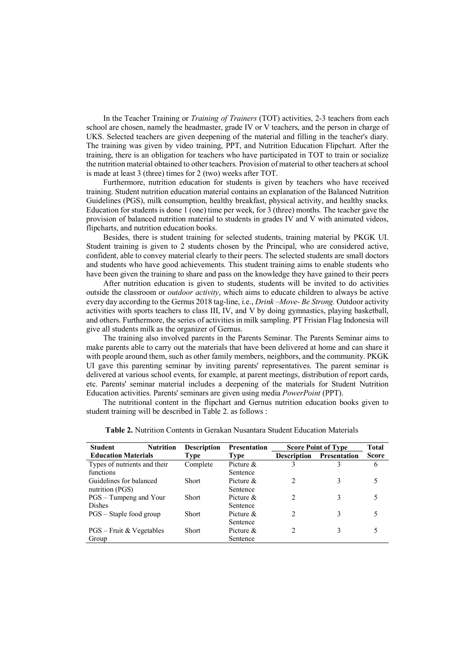In the Teacher Training or *Training of Trainers* (TOT) activities, 2-3 teachers from each school are chosen, namely the headmaster, grade IV or V teachers, and the person in charge of UKS. Selected teachers are given deepening of the material and filling in the teacher's diary. The training was given by video training, PPT, and Nutrition Education Flipchart. After the training, there is an obligation for teachers who have participated in TOT to train or socialize the nutrition material obtained to other teachers. Provision of material to other teachers at school is made at least 3 (three) times for 2 (two) weeks after TOT.

Furthermore, nutrition education for students is given by teachers who have received training. Student nutrition education material contains an explanation of the Balanced Nutrition Guidelines (PGS), milk consumption, healthy breakfast, physical activity, and healthy snacks. Education for students is done 1 (one) time per week, for 3 (three) months*.* The teacher gave the provision of balanced nutrition material to students in grades IV and V with animated videos, flipcharts, and nutrition education books.

Besides, there is student training for selected students, training material by PKGK UI. Student training is given to 2 students chosen by the Principal, who are considered active, confident, able to convey material clearly to their peers. The selected students are small doctors and students who have good achievements. This student training aims to enable students who have been given the training to share and pass on the knowledge they have gained to their peers

After nutrition education is given to students, students will be invited to do activities outside the classroom or *outdoor activity*, which aims to educate children to always be active every day according to the Gernus 2018 tag-line, i.e., *Drink –Move- Be Strong.* Outdoor activity activities with sports teachers to class III, IV, and V by doing gymnastics, playing basketball, and others. Furthermore, the series of activities in milk sampling. PT Frisian Flag Indonesia will give all students milk as the organizer of Gernus.

The training also involved parents in the Parents Seminar. The Parents Seminar aims to make parents able to carry out the materials that have been delivered at home and can share it with people around them, such as other family members, neighbors, and the community. PKGK UI gave this parenting seminar by inviting parents' representatives. The parent seminar is delivered at various school events, for example, at parent meetings, distribution of report cards, etc. Parents' seminar material includes a deepening of the materials for Student Nutrition Education activities. Parents' seminars are given using media *PowerPoint* (PPT).

The nutritional content in the flipchart and Gernus nutrition education books given to student training will be described in Table 2. as follows :

| <b>Student</b><br><b>Nutrition</b> | <b>Description</b> | <b>Presentation</b> | <b>Score Point of Type</b> |              | Total        |
|------------------------------------|--------------------|---------------------|----------------------------|--------------|--------------|
| <b>Education Materials</b>         | Type               | Type                | <b>Description</b>         | Presentation | <b>Score</b> |
| Types of nutrients and their       | Complete           | Picture $&$         | 3                          | 3            | 6            |
| functions                          |                    | Sentence            |                            |              |              |
| Guidelines for balanced            | Short              | Picture $\&$        | 2                          | 3            |              |
| nutrition (PGS)                    |                    | Sentence            |                            |              |              |
| PGS – Tumpeng and Your             | <b>Short</b>       | Picture $\&$        | $\mathfrak{D}$             | 3            |              |
| <b>Dishes</b>                      |                    | Sentence            |                            |              |              |
| PGS – Staple food group            | Short              | Picture $\&$        | $\mathfrak{D}$             | 3            |              |
|                                    |                    | Sentence            |                            |              |              |
| $PGS - Fruit & Vegetables$         | Short              | Picture $&$         | $\mathfrak{D}$             | 3            |              |
| Group                              |                    | Sentence            |                            |              |              |

| <b>Table 2.</b> Nutrition Contents in Gerakan Nusantara Student Education Materials |  |  |
|-------------------------------------------------------------------------------------|--|--|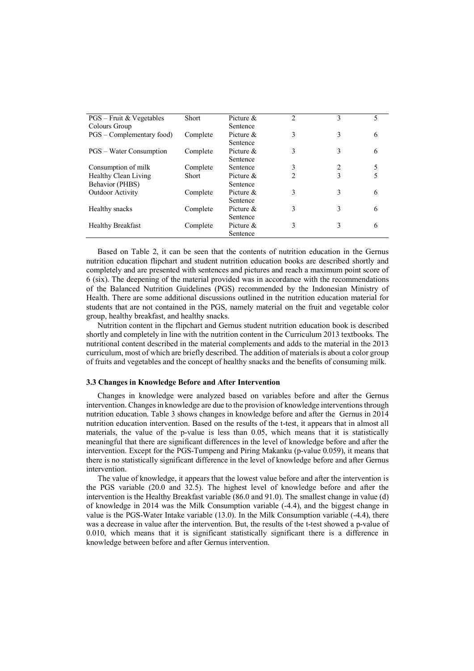| $PGS - Fruit & Vegetables$     | Short    | Picture $\&$ | 2 | 3 | 5 |
|--------------------------------|----------|--------------|---|---|---|
| Colours Group                  |          | Sentence     |   |   |   |
| PGS – Complementary food)      | Complete | Picture $\&$ | 3 | 3 | 6 |
|                                |          | Sentence     |   |   |   |
| <b>PGS</b> – Water Consumption | Complete | Picture $\&$ | 3 | 3 | 6 |
|                                |          | Sentence     |   |   |   |
| Consumption of milk            | Complete | Sentence     | 3 |   |   |
| Healthy Clean Living           | Short    | Picture $\&$ | 2 | 3 | 5 |
| Behavior (PHBS)                |          | Sentence     |   |   |   |
| Outdoor Activity               | Complete | Picture $\&$ | 3 | 3 | 6 |
|                                |          | Sentence     |   |   |   |
| Healthy snacks                 | Complete | Picture &    | 3 | 3 | 6 |
|                                |          | Sentence     |   |   |   |
| <b>Healthy Breakfast</b>       | Complete | Picture &    | 3 | 3 | 6 |
|                                |          | Sentence     |   |   |   |

Based on Table 2, it can be seen that the contents of nutrition education in the Gernus nutrition education flipchart and student nutrition education books are described shortly and completely and are presented with sentences and pictures and reach a maximum point score of 6 (six). The deepening of the material provided was in accordance with the recommendations of the Balanced Nutrition Guidelines (PGS) recommended by the Indonesian Ministry of Health. There are some additional discussions outlined in the nutrition education material for students that are not contained in the PGS, namely material on the fruit and vegetable color group, healthy breakfast, and healthy snacks.

Nutrition content in the flipchart and Gernus student nutrition education book is described shortly and completely in line with the nutrition content in the Curriculum 2013 textbooks. The nutritional content described in the material complements and adds to the material in the 2013 curriculum, most of which are briefly described. The addition of materials is about a color group of fruits and vegetables and the concept of healthy snacks and the benefits of consuming milk.

#### **3.3 Changes in Knowledge Before and After Intervention**

Changes in knowledge were analyzed based on variables before and after the Gernus intervention. Changes in knowledge are due to the provision of knowledge interventions through nutrition education. Table 3 shows changes in knowledge before and after the Gernus in 2014 nutrition education intervention. Based on the results of the t-test, it appears that in almost all materials, the value of the p-value is less than 0.05, which means that it is statistically meaningful that there are significant differences in the level of knowledge before and after the intervention. Except for the PGS-Tumpeng and Piring Makanku (p-value 0.059), it means that there is no statistically significant difference in the level of knowledge before and after Gernus intervention.

The value of knowledge, it appears that the lowest value before and after the intervention is the PGS variable (20.0 and 32.5). The highest level of knowledge before and after the intervention is the Healthy Breakfast variable (86.0 and 91.0). The smallest change in value (d) of knowledge in 2014 was the Milk Consumption variable (-4.4), and the biggest change in value is the PGS-Water Intake variable (13.0). In the Milk Consumption variable (-4.4), there was a decrease in value after the intervention. But, the results of the t-test showed a p-value of 0.010, which means that it is significant statistically significant there is a difference in knowledge between before and after Gernus intervention.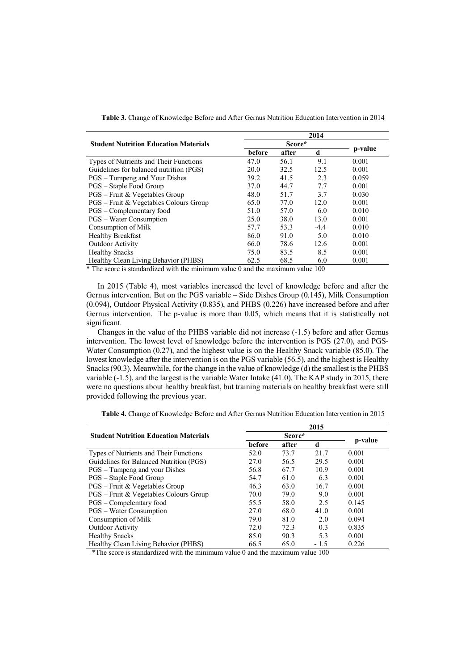|                                              | 2014   |       |        |         |  |
|----------------------------------------------|--------|-------|--------|---------|--|
| <b>Student Nutrition Education Materials</b> |        |       |        |         |  |
|                                              | before | after | d      | p-value |  |
| Types of Nutrients and Their Functions       | 47.0   | 56.1  | 9.1    | 0.001   |  |
| Guidelines for balanced nutrition (PGS)      | 20.0   | 32.5  | 12.5   | 0.001   |  |
| PGS – Tumpeng and Your Dishes                | 39.2   | 41.5  | 2.3    | 0.059   |  |
| PGS – Staple Food Group                      | 37.0   | 44.7  | 7.7    | 0.001   |  |
| PGS - Fruit & Vegetables Group               | 48.0   | 51.7  | 3.7    | 0.030   |  |
| PGS – Fruit & Vegetables Colours Group       | 65.0   | 77.0  | 12.0   | 0.001   |  |
| PGS – Complementary food                     | 51.0   | 57.0  | 6.0    | 0.010   |  |
| <b>PGS</b> – Water Consumption               | 25.0   | 38.0  | 13.0   | 0.001   |  |
| Consumption of Milk                          | 57.7   | 53.3  | $-4.4$ | 0.010   |  |
| <b>Healthy Breakfast</b>                     | 86.0   | 91.0  | 5.0    | 0.010   |  |
| <b>Outdoor Activity</b>                      | 66.0   | 78.6  | 12.6   | 0.001   |  |
| <b>Healthy Snacks</b>                        | 75.0   | 83.5  | 8.5    | 0.001   |  |
| Healthy Clean Living Behavior (PHBS)         | 62.5   | 68.5  | 6.0    | 0.001   |  |

**Table 3.** Change of Knowledge Before and After Gernus Nutrition Education Intervention in 2014

\* The score is standardized with the minimum value 0 and the maximum value 100

In 2015 (Table 4), most variables increased the level of knowledge before and after the Gernus intervention. But on the PGS variable – Side Dishes Group (0.145), Milk Consumption (0.094), Outdoor Physical Activity (0.835), and PHBS (0.226) have increased before and after Gernus intervention. The p-value is more than 0.05, which means that it is statistically not significant.

Changes in the value of the PHBS variable did not increase (-1.5) before and after Gernus intervention. The lowest level of knowledge before the intervention is PGS (27.0), and PGS-Water Consumption (0.27), and the highest value is on the Healthy Snack variable (85.0). The lowest knowledge after the intervention is on the PGS variable (56.5), and the highest is Healthy Snacks (90.3). Meanwhile, for the change in the value of knowledge (d) the smallest is the PHBS variable (-1.5), and the largest is the variable Water Intake (41.0). The KAP study in 2015, there were no questions about healthy breakfast, but training materials on healthy breakfast were still provided following the previous year.

|                                              |        |       | 2015   |         |
|----------------------------------------------|--------|-------|--------|---------|
| <b>Student Nutrition Education Materials</b> |        |       |        |         |
|                                              | before | after | d      | p-value |
| Types of Nutrients and Their Functions       | 52.0   | 73.7  | 21.7   | 0.001   |
| Guidelines for Balanced Nutrition (PGS)      | 27.0   | 56.5  | 29.5   | 0.001   |
| PGS – Tumpeng and your Dishes                | 56.8   | 67.7  | 10.9   | 0.001   |
| PGS – Staple Food Group                      | 54.7   | 61.0  | 6.3    | 0.001   |
| PGS – Fruit & Vegetables Group               | 46.3   | 63.0  | 16.7   | 0.001   |
| PGS – Fruit & Vegetables Colours Group       | 70.0   | 79.0  | 9.0    | 0.001   |
| PGS - Compelemtary food                      | 55.5   | 58.0  | 2.5    | 0.145   |
| <b>PGS</b> – Water Consumption               | 27.0   | 68.0  | 41.0   | 0.001   |
| Consumption of Milk                          | 79.0   | 81.0  | 2.0    | 0.094   |
| Outdoor Activity                             | 72.0   | 72.3  | 0.3    | 0.835   |
| <b>Healthy Snacks</b>                        | 85.0   | 90.3  | 5.3    | 0.001   |
| Healthy Clean Living Behavior (PHBS)         | 66.5   | 65.0  | $-1.5$ | 0.226   |

**Table 4.** Change of Knowledge Before and After Gernus Nutrition Education Intervention in 2015

\*The score is standardized with the minimum value 0 and the maximum value 100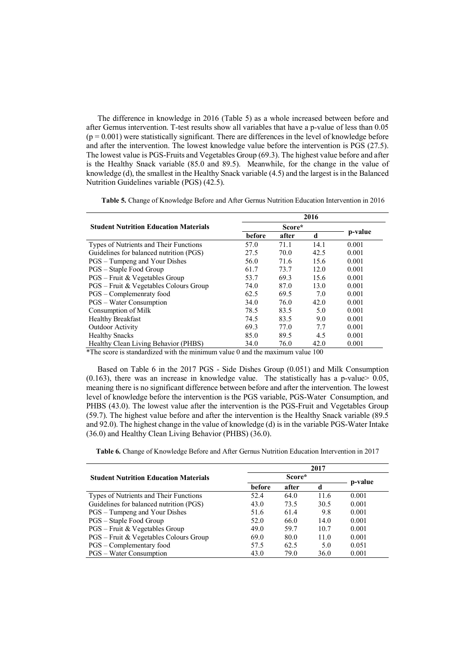The difference in knowledge in 2016 (Table 5) as a whole increased between before and after Gernus intervention. T-test results show all variables that have a p-value of less than 0.05  $(p = 0.001)$  were statistically significant. There are differences in the level of knowledge before and after the intervention. The lowest knowledge value before the intervention is PGS (27.5). The lowest value is PGS-Fruits and Vegetables Group (69.3). The highest value before and after is the Healthy Snack variable (85.0 and 89.5). Meanwhile, for the change in the value of knowledge (d), the smallest in the Healthy Snack variable (4.5) and the largest is in the Balanced Nutrition Guidelines variable (PGS) (42.5).

|                                              | 2016   |        |      |         |  |
|----------------------------------------------|--------|--------|------|---------|--|
| <b>Student Nutrition Education Materials</b> |        | Score* |      |         |  |
|                                              | before | after  | d    | p-value |  |
| Types of Nutrients and Their Functions       | 57.0   | 71.1   | 14.1 | 0.001   |  |
| Guidelines for balanced nutrition (PGS)      | 27.5   | 70.0   | 42.5 | 0.001   |  |
| PGS – Tumpeng and Your Dishes                | 56.0   | 71.6   | 15.6 | 0.001   |  |
| PGS – Staple Food Group                      | 61.7   | 73.7   | 12.0 | 0.001   |  |
| PGS – Fruit & Vegetables Group               | 53.7   | 69.3   | 15.6 | 0.001   |  |
| PGS – Fruit & Vegetables Colours Group       | 74.0   | 87.0   | 13.0 | 0.001   |  |
| PGS - Complemenraty food                     | 62.5   | 69.5   | 7.0  | 0.001   |  |
| <b>PGS</b> – Water Consumption               | 34.0   | 76.0   | 42.0 | 0.001   |  |
| Consumption of Milk                          | 78.5   | 83.5   | 5.0  | 0.001   |  |
| <b>Healthy Breakfast</b>                     | 74.5   | 83.5   | 9.0  | 0.001   |  |
| Outdoor Activity                             | 69.3   | 77.0   | 7.7  | 0.001   |  |
| <b>Healthy Snacks</b>                        | 85.0   | 89.5   | 4.5  | 0.001   |  |
| Healthy Clean Living Behavior (PHBS)         | 34.0   | 76.0   | 42.0 | 0.001   |  |
|                                              |        |        |      |         |  |

**Table 5.** Change of Knowledge Before and After Gernus Nutrition Education Intervention in 2016

\*The score is standardized with the minimum value 0 and the maximum value 100

Based on Table 6 in the 2017 PGS - Side Dishes Group (0.051) and Milk Consumption  $(0.163)$ , there was an increase in knowledge value. The statistically has a p-value  $0.05$ , meaning there is no significant difference between before and after the intervention. The lowest level of knowledge before the intervention is the PGS variable, PGS-Water Consumption, and PHBS (43.0). The lowest value after the intervention is the PGS-Fruit and Vegetables Group (59.7). The highest value before and after the intervention is the Healthy Snack variable (89.5 and 92.0). The highest change in the value of knowledge (d) is in the variable PGS-Water Intake (36.0) and Healthy Clean Living Behavior (PHBS) (36.0).

**Table 6.** Change of Knowledge Before and After Gernus Nutrition Education Intervention in 2017

|                                              |        |         | 2017 |       |
|----------------------------------------------|--------|---------|------|-------|
| <b>Student Nutrition Education Materials</b> |        | p-value |      |       |
|                                              | before | after   | d    |       |
| Types of Nutrients and Their Functions       | 52.4   | 64.0    | 11.6 | 0.001 |
| Guidelines for balanced nutrition (PGS)      | 43.0   | 73.5    | 30.5 | 0.001 |
| PGS – Tumpeng and Your Dishes                | 51.6   | 61.4    | 9.8  | 0.001 |
| PGS – Staple Food Group                      | 52.0   | 66.0    | 14.0 | 0.001 |
| PGS – Fruit & Vegetables Group               | 49.0   | 59.7    | 10.7 | 0.001 |
| PGS – Fruit & Vegetables Colours Group       | 69.0   | 80.0    | 11.0 | 0.001 |
| PGS – Complementary food                     | 57.5   | 62.5    | 5.0  | 0.051 |
| <b>PGS</b> – Water Consumption               | 43.0   | 79.0    | 36.0 | 0.001 |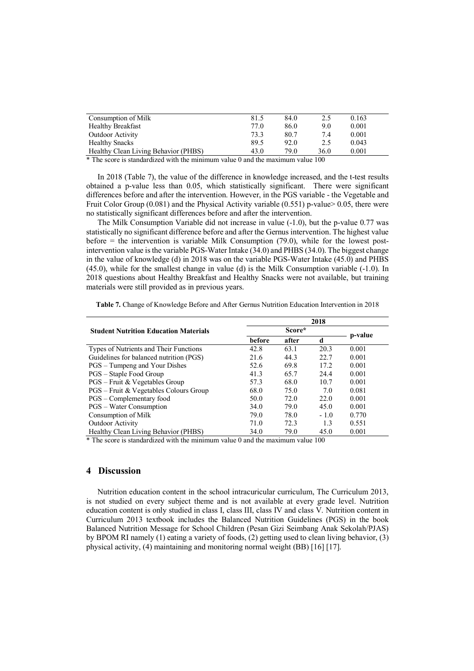| Consumption of Milk                  | 81.5 | 84.0 | 2.5  | 0.163 |
|--------------------------------------|------|------|------|-------|
| <b>Healthy Breakfast</b>             | 77.0 | 86.0 | 9.0  | 0.001 |
| <b>Outdoor Activity</b>              | 73.3 | 80.7 | 7.4  | 0.001 |
| <b>Healthy Snacks</b>                | 89.5 | 92.0 | 2.5  | 0.043 |
| Healthy Clean Living Behavior (PHBS) | 43.0 | 79.0 | 36.0 | 0.001 |

\* The score is standardized with the minimum value 0 and the maximum value 100

In 2018 (Table 7), the value of the difference in knowledge increased, and the t-test results obtained a p-value less than 0.05, which statistically significant. There were significant differences before and after the intervention. However, in the PGS variable - the Vegetable and Fruit Color Group (0.081) and the Physical Activity variable (0.551) p-value> 0.05, there were no statistically significant differences before and after the intervention.

The Milk Consumption Variable did not increase in value (-1.0), but the p-value 0.77 was statistically no significant difference before and after the Gernus intervention. The highest value before  $=$  the intervention is variable Milk Consumption  $(79.0)$ , while for the lowest postintervention value is the variable PGS-Water Intake (34.0) and PHBS (34.0). The biggest change in the value of knowledge (d) in 2018 was on the variable PGS-Water Intake (45.0) and PHBS (45.0), while for the smallest change in value (d) is the Milk Consumption variable (-1.0). In 2018 questions about Healthy Breakfast and Healthy Snacks were not available, but training materials were still provided as in previous years.

| 2018                                         |               |       |        |         |
|----------------------------------------------|---------------|-------|--------|---------|
| <b>Student Nutrition Education Materials</b> | Score*        |       |        | p-value |
|                                              | <b>before</b> | after | d      |         |
| Types of Nutrients and Their Functions       | 42.8          | 63.1  | 20.3   | 0.001   |
| Guidelines for balanced nutrition (PGS)      | 21.6          | 44.3  | 22.7   | 0.001   |
| PGS – Tumpeng and Your Dishes                | 52.6          | 69.8  | 17.2   | 0.001   |
| PGS – Staple Food Group                      | 41.3          | 65.7  | 24.4   | 0.001   |
| $PGS$ – Fruit & Vegetables Group             | 57.3          | 68.0  | 10.7   | 0.001   |
| PGS – Fruit & Vegetables Colours Group       | 68.0          | 75.0  | 7.0    | 0.081   |
| PGS - Complementary food                     | 50.0          | 72.0  | 22.0   | 0.001   |
| <b>PGS</b> – Water Consumption               | 34.0          | 79.0  | 45.0   | 0.001   |
| Consumption of Milk                          | 79.0          | 78.0  | $-1.0$ | 0.770   |
| Outdoor Activity                             | 71.0          | 72.3  | 1.3    | 0.551   |
| Healthy Clean Living Behavior (PHBS)         | 34.0          | 79.0  | 45.0   | 0.001   |

**Table 7.** Change of Knowledge Before and After Gernus Nutrition Education Intervention in 2018

\* The score is standardized with the minimum value 0 and the maximum value 100

## **4 Discussion**

Nutrition education content in the school intracuricular curriculum, The Curriculum 2013, is not studied on every subject theme and is not available at every grade level. Nutrition education content is only studied in class I, class III, class IV and class V. Nutrition content in Curriculum 2013 textbook includes the Balanced Nutrition Guidelines (PGS) in the book Balanced Nutrition Message for School Children (Pesan Gizi Seimbang Anak Sekolah/PJAS) by BPOM RI namely (1) eating a variety of foods, (2) getting used to clean living behavior, (3) physical activity, (4) maintaining and monitoring normal weight (BB) [16] [17].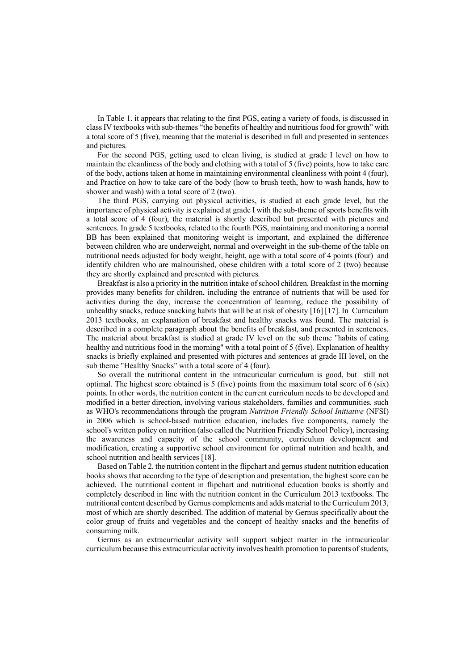In Table 1. it appears that relating to the first PGS, eating a variety of foods, is discussed in class IV textbooks with sub-themes "the benefits of healthy and nutritious food for growth" with a total score of 5 (five), meaning that the material is described in full and presented in sentences and pictures.

For the second PGS, getting used to clean living, is studied at grade I level on how to maintain the cleanliness of the body and clothing with a total of 5 (five) points, how to take care of the body, actions taken at home in maintaining environmental cleanliness with point 4 (four), and Practice on how to take care of the body (how to brush teeth, how to wash hands, how to shower and wash) with a total score of 2 (two).

The third PGS, carrying out physical activities, is studied at each grade level, but the importance of physical activity is explained at grade I with the sub-theme of sports benefits with a total score of 4 (four), the material is shortly described but presented with pictures and sentences. In grade 5 textbooks, related to the fourth PGS, maintaining and monitoring a normal BB has been explained that monitoring weight is important, and explained the difference between children who are underweight, normal and overweight in the sub-theme of the table on nutritional needs adjusted for body weight, height, age with a total score of 4 points (four) and identify children who are malnourished, obese children with a total score of 2 (two) because they are shortly explained and presented with pictures.

Breakfast is also a priority in the nutrition intake of school children. Breakfast in the morning provides many benefits for children, including the entrance of nutrients that will be used for activities during the day, increase the concentration of learning, reduce the possibility of unhealthy snacks, reduce snacking habits that will be at risk of obesity [16] [17]. In Curriculum 2013 textbooks, an explanation of breakfast and healthy snacks was found. The material is described in a complete paragraph about the benefits of breakfast, and presented in sentences. The material about breakfast is studied at grade IV level on the sub theme "habits of eating healthy and nutritious food in the morning" with a total point of 5 (five). Explanation of healthy snacks is briefly explained and presented with pictures and sentences at grade III level, on the sub theme "Healthy Snacks" with a total score of 4 (four).

So overall the nutritional content in the intracuricular curriculum is good, but still not optimal. The highest score obtained is 5 (five) points from the maximum total score of 6 (six) points. In other words, the nutrition content in the current curriculum needs to be developed and modified in a better direction, involving various stakeholders, families and communities, such as WHO's recommendations through the program *Nutrition Friendly School Initiative* (NFSI) in 2006 which is school-based nutrition education, includes five components, namely the school's written policy on nutrition (also called the Nutrition Friendly School Policy), increasing the awareness and capacity of the school community, curriculum development and modification, creating a supportive school environment for optimal nutrition and health, and school nutrition and health services [18].

Based on Table 2. the nutrition content in the flipchart and gernus student nutrition education books shows that according to the type of description and presentation, the highest score can be achieved. The nutritional content in flipchart and nutritional education books is shortly and completely described in line with the nutrition content in the Curriculum 2013 textbooks. The nutritional content described by Gernus complements and adds material to the Curriculum 2013, most of which are shortly described. The addition of material by Gernus specifically about the color group of fruits and vegetables and the concept of healthy snacks and the benefits of consuming milk.

Gernus as an extracurricular activity will support subject matter in the intracuricular curriculum because this extracurricular activity involves health promotion to parents of students,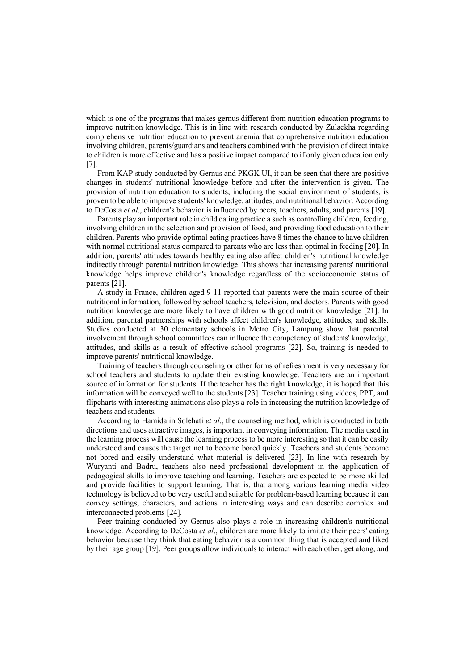which is one of the programs that makes gernus different from nutrition education programs to improve nutrition knowledge. This is in line with research conducted by Zulaekha regarding comprehensive nutrition education to prevent anemia that comprehensive nutrition education involving children, parents/guardians and teachers combined with the provision of direct intake to children is more effective and has a positive impact compared to if only given education only [7].

From KAP study conducted by Gernus and PKGK UI, it can be seen that there are positive changes in students' nutritional knowledge before and after the intervention is given. The provision of nutrition education to students, including the social environment of students, is proven to be able to improve students' knowledge, attitudes, and nutritional behavior. According to DeCosta *et al*., children's behavior is influenced by peers, teachers, adults, and parents [19].

Parents play an important role in child eating practice a such as controlling children, feeding, involving children in the selection and provision of food, and providing food education to their children. Parents who provide optimal eating practices have 8 times the chance to have children with normal nutritional status compared to parents who are less than optimal in feeding [20]. In addition, parents' attitudes towards healthy eating also affect children's nutritional knowledge indirectly through parental nutrition knowledge. This shows that increasing parents' nutritional knowledge helps improve children's knowledge regardless of the socioeconomic status of parents [21].

A study in France, children aged 9-11 reported that parents were the main source of their nutritional information, followed by school teachers, television, and doctors. Parents with good nutrition knowledge are more likely to have children with good nutrition knowledge [21]. In addition, parental partnerships with schools affect children's knowledge, attitudes, and skills. Studies conducted at 30 elementary schools in Metro City, Lampung show that parental involvement through school committees can influence the competency of students' knowledge, attitudes, and skills as a result of effective school programs [22]. So, training is needed to improve parents' nutritional knowledge.

Training of teachers through counseling or other forms of refreshment is very necessary for school teachers and students to update their existing knowledge. Teachers are an important source of information for students. If the teacher has the right knowledge, it is hoped that this information will be conveyed well to the students [23]. Teacher training using videos, PPT, and flipcharts with interesting animations also plays a role in increasing the nutrition knowledge of teachers and students.

According to Hamida in Solehati *et al*., the counseling method, which is conducted in both directions and uses attractive images, is important in conveying information. The media used in the learning process will cause the learning process to be more interesting so that it can be easily understood and causes the target not to become bored quickly. Teachers and students become not bored and easily understand what material is delivered [23]. In line with research by Wuryanti and Badru, teachers also need professional development in the application of pedagogical skills to improve teaching and learning. Teachers are expected to be more skilled and provide facilities to support learning. That is, that among various learning media video technology is believed to be very useful and suitable for problem-based learning because it can convey settings, characters, and actions in interesting ways and can describe complex and interconnected problems [24].

Peer training conducted by Gernus also plays a role in increasing children's nutritional knowledge. According to DeCosta *et al*., children are more likely to imitate their peers' eating behavior because they think that eating behavior is a common thing that is accepted and liked by their age group [19]. Peer groups allow individuals to interact with each other, get along, and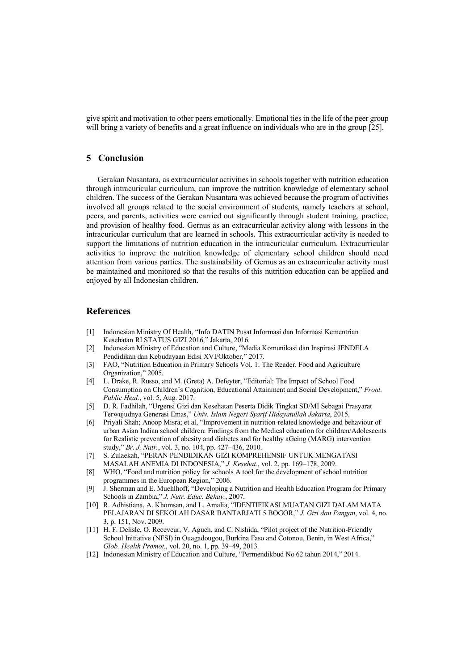give spirit and motivation to other peers emotionally. Emotional ties in the life of the peer group will bring a variety of benefits and a great influence on individuals who are in the group [25].

## **5 Conclusion**

Gerakan Nusantara, as extracurricular activities in schools together with nutrition education through intracuricular curriculum, can improve the nutrition knowledge of elementary school children. The success of the Gerakan Nusantara was achieved because the program of activities involved all groups related to the social environment of students, namely teachers at school, peers, and parents, activities were carried out significantly through student training, practice, and provision of healthy food. Gernus as an extracurricular activity along with lessons in the intracuricular curriculum that are learned in schools. This extracurricular activity is needed to support the limitations of nutrition education in the intracuricular curriculum. Extracurricular activities to improve the nutrition knowledge of elementary school children should need attention from various parties. The sustainability of Gernus as an extracurricular activity must be maintained and monitored so that the results of this nutrition education can be applied and enjoyed by all Indonesian children.

# **References**

- [1] Indonesian Ministry Of Health, "Info DATIN Pusat Informasi dan Informasi Kementrian Kesehatan RI STATUS GIZI 2016," Jakarta, 2016.
- [2] Indonesian Ministry of Education and Culture, "Media Komunikasi dan Inspirasi JENDELA Pendidikan dan Kebudayaan Edisi XVI/Oktober," 2017.
- [3] FAO, "Nutrition Education in Primary Schools Vol. 1: The Reader. Food and Agriculture Organization," 2005.
- [4] L. Drake, R. Russo, and M. (Greta) A. Defeyter, "Editorial: The Impact of School Food Consumption on Children's Cognition, Educational Attainment and Social Development," *Front. Public Heal.*, vol. 5, Aug. 2017.
- [5] D. R. Fadhilah, "Urgensi Gizi dan Kesehatan Peserta Didik Tingkat SD/MI Sebagai Prasyarat Terwujudnya Generasi Emas," *Univ. Islam Negeri Syarif Hidayatullah Jakarta*, 2015.
- [6] Priyali Shah; Anoop Misra; et al, "Improvement in nutrition-related knowledge and behaviour of urban Asian Indian school children: Findings from the Medical education for children/Adolescents for Realistic prevention of obesity and diabetes and for healthy aGeing (MARG) intervention study," *Br. J. Nutr.*, vol. 3, no. 104, pp. 427–436, 2010.
- [7] S. Zulaekah, "PERAN PENDIDIKAN GIZI KOMPREHENSIF UNTUK MENGATASI MASALAH ANEMIA DI INDONESIA," *J. Kesehat.*, vol. 2, pp. 169–178, 2009.
- [8] WHO, "Food and nutrition policy for schools A tool for the development of school nutrition programmes in the European Region," 2006.
- [9] J. Sherman and E. Muehlhoff, "Developing a Nutrition and Health Education Program for Primary Schools in Zambia," *J. Nutr. Educ. Behav.*, 2007.
- [10] R. Adhistiana, A. Khomsan, and L. Amalia, "IDENTIFIKASI MUATAN GIZI DALAM MATA PELAJARAN DI SEKOLAH DASAR BANTARJATI 5 BOGOR," *J. Gizi dan Pangan*, vol. 4, no. 3, p. 151, Nov. 2009.
- [11] H. F. Delisle, O. Receveur, V. Agueh, and C. Nishida, "Pilot project of the Nutrition-Friendly School Initiative (NFSI) in Ouagadougou, Burkina Faso and Cotonou, Benin, in West Africa," *Glob. Health Promot.*, vol. 20, no. 1, pp. 39–49, 2013.
- [12] Indonesian Ministry of Education and Culture, "Permendikbud No 62 tahun 2014," 2014.